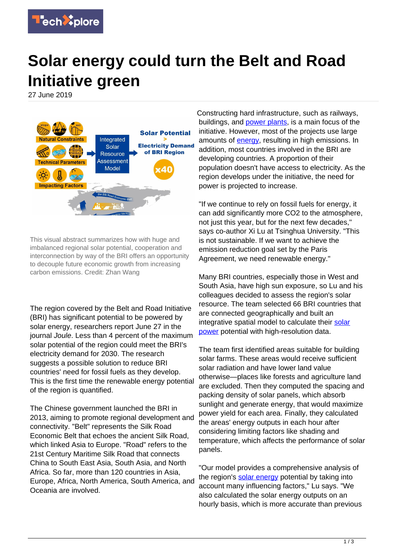

## **Solar energy could turn the Belt and Road Initiative green**

27 June 2019



This visual abstract summarizes how with huge and imbalanced regional solar potential, cooperation and interconnection by way of the BRI offers an opportunity to decouple future economic growth from increasing carbon emissions. Credit: Zhan Wang

The region covered by the Belt and Road Initiative (BRI) has significant potential to be powered by solar energy, researchers report June 27 in the journal Joule. Less than 4 percent of the maximum solar potential of the region could meet the BRI's electricity demand for 2030. The research suggests a possible solution to reduce BRI countries' need for fossil fuels as they develop. This is the first time the renewable energy potential of the region is quantified.

The Chinese government launched the BRI in 2013, aiming to promote regional development and connectivity. "Belt" represents the Silk Road Economic Belt that echoes the ancient Silk Road, which linked Asia to Europe. "Road" refers to the 21st Century Maritime Silk Road that connects China to South East Asia, South Asia, and North Africa. So far, more than 120 countries in Asia, Europe, Africa, North America, South America, and Oceania are involved.

Constructing hard infrastructure, such as railways, buildings, and [power plants,](https://techxplore.com/tags/power+plants/) is a main focus of the initiative. However, most of the projects use large amounts of **energy**, resulting in high emissions. In addition, most countries involved in the BRI are developing countries. A proportion of their population doesn't have access to electricity. As the region develops under the initiative, the need for power is projected to increase.

"If we continue to rely on fossil fuels for energy, it can add significantly more CO2 to the atmosphere, not just this year, but for the next few decades," says co-author Xi Lu at Tsinghua University. "This is not sustainable. If we want to achieve the emission reduction goal set by the Paris Agreement, we need renewable energy."

Many BRI countries, especially those in West and South Asia, have high sun exposure, so Lu and his colleagues decided to assess the region's solar resource. The team selected 66 BRI countries that are connected geographically and built an integrative spatial model to calculate their [solar](https://techxplore.com/tags/solar+power/) [power](https://techxplore.com/tags/solar+power/) potential with high-resolution data.

The team first identified areas suitable for building solar farms. These areas would receive sufficient solar radiation and have lower land value otherwise—places like forests and agriculture land are excluded. Then they computed the spacing and packing density of solar panels, which absorb sunlight and generate energy, that would maximize power yield for each area. Finally, they calculated the areas' energy outputs in each hour after considering limiting factors like shading and temperature, which affects the performance of solar panels.

"Our model provides a comprehensive analysis of the region's [solar energy](https://techxplore.com/tags/solar+energy/) potential by taking into account many influencing factors," Lu says. "We also calculated the solar energy outputs on an hourly basis, which is more accurate than previous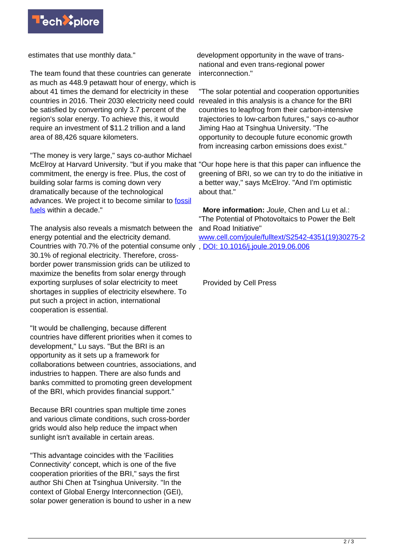

estimates that use monthly data."

The team found that these countries can generate as much as 448.9 petawatt hour of energy, which is about 41 times the demand for electricity in these countries in 2016. Their 2030 electricity need could be satisfied by converting only 3.7 percent of the region's solar energy. To achieve this, it would require an investment of \$11.2 trillion and a land area of 88,426 square kilometers.

"The money is very large," says co-author Michael McElroy at Harvard University. "but if you make that "Our hope here is that this paper can influence the commitment, the energy is free. Plus, the cost of building solar farms is coming down very dramatically because of the technological advances. We project it to become similar to [fossil](https://techxplore.com/tags/fossil+fuels/) [fuels](https://techxplore.com/tags/fossil+fuels/) within a decade."

The analysis also reveals a mismatch between the energy potential and the electricity demand. Countries with 70.7% of the potential consume only, [DOI: 10.1016/j.joule.2019.06.006](http://dx.doi.org/10.1016/j.joule.2019.06.006) 30.1% of regional electricity. Therefore, crossborder power transmission grids can be utilized to maximize the benefits from solar energy through exporting surpluses of solar electricity to meet shortages in supplies of electricity elsewhere. To put such a project in action, international cooperation is essential.

"It would be challenging, because different countries have different priorities when it comes to development," Lu says. "But the BRI is an opportunity as it sets up a framework for collaborations between countries, associations, and industries to happen. There are also funds and banks committed to promoting green development of the BRI, which provides financial support."

Because BRI countries span multiple time zones and various climate conditions, such cross-border grids would also help reduce the impact when sunlight isn't available in certain areas.

"This advantage coincides with the 'Facilities Connectivity' concept, which is one of the five cooperation priorities of the BRI," says the first author Shi Chen at Tsinghua University. "In the context of Global Energy Interconnection (GEI), solar power generation is bound to usher in a new development opportunity in the wave of transnational and even trans-regional power interconnection."

"The solar potential and cooperation opportunities revealed in this analysis is a chance for the BRI countries to leapfrog from their carbon-intensive trajectories to low-carbon futures," says co-author Jiming Hao at Tsinghua University. "The opportunity to decouple future economic growth from increasing carbon emissions does exist."

greening of BRI, so we can try to do the initiative in a better way," says McElroy. "And I'm optimistic about that."

 **More information:** Joule, Chen and Lu et al.: "The Potential of Photovoltaics to Power the Belt and Road Initiative" [www.cell.com/joule/fulltext/S2542-4351\(19\)30275-2](https://www.cell.com/joule/fulltext/S2542-4351(19)30275-2)

Provided by Cell Press